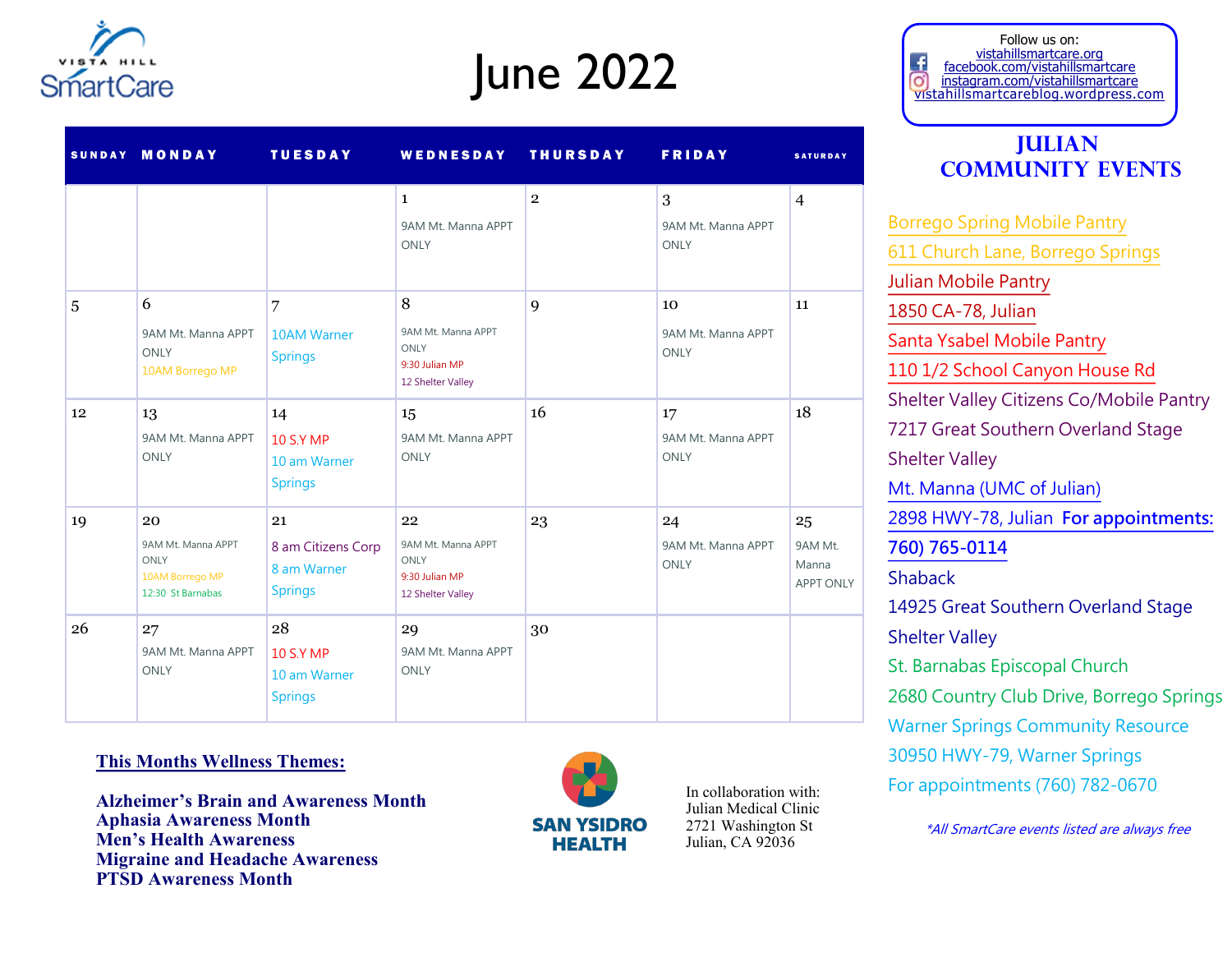

# June 2022

|    | SUNDAY MONDAY                                                            | <b>TUESDAY</b>                                            | WEDNESDAY THURSDAY                                                      |                | <b>FRIDAY</b>                           | <b>SATURDAY</b>                     |
|----|--------------------------------------------------------------------------|-----------------------------------------------------------|-------------------------------------------------------------------------|----------------|-----------------------------------------|-------------------------------------|
|    |                                                                          |                                                           | $\mathbf{1}$<br>9AM Mt. Manna APPT<br><b>ONLY</b>                       | $\overline{2}$ | 3<br>9AM Mt. Manna APPT<br><b>ONLY</b>  | $\overline{4}$                      |
| 5  | 6<br>9AM Mt. Manna APPT<br><b>ONLY</b><br>10AM Borrego MP                | 7<br><b>10AM Warner</b><br><b>Springs</b>                 | 8<br>9AM Mt. Manna APPT<br>ONLY<br>9:30 Julian MP<br>12 Shelter Valley  | 9              | 10<br>9AM Mt. Manna APPT<br><b>ONLY</b> | 11                                  |
| 12 | 13<br>9AM Mt. Manna APPT<br>ONLY                                         | 14<br><b>10 S.Y MP</b><br>10 am Warner<br><b>Springs</b>  | 15<br>9AM Mt. Manna APPT<br><b>ONLY</b>                                 | 16             | 17<br>9AM Mt. Manna APPT<br><b>ONLY</b> | 18                                  |
| 19 | 20<br>9AM Mt. Manna APPT<br>ONLY<br>10AM Borrego MP<br>12:30 St Barnabas | 21<br>8 am Citizens Corp<br>8 am Warner<br><b>Springs</b> | 22<br>9AM Mt. Manna APPT<br>ONLY<br>9:30 Julian MP<br>12 Shelter Valley | 23             | 24<br>9AM Mt. Manna APPT<br><b>ONLY</b> | 25<br>9AM Mt.<br>Manna<br>APPT ONLY |
| 26 | 27<br>9AM Mt. Manna APPT<br><b>ONLY</b>                                  | 28<br><b>10 S.Y MP</b><br>10 am Warner<br><b>Springs</b>  | 29<br>9AM Mt. Manna APPT<br><b>ONLY</b>                                 | 30             |                                         |                                     |

#### Follow us on: vistahillsmartcare.org facebook.com/vistahillsmartcare o) instagram.com/vistahillsmartcare vistahillsmartcareblog.wordpress.com

### **Julian Community Events**

[Borrego Spring Mobile Pantry](https://sandiego.networkofcare.org/mh/services/agency.aspx?pid=FeedingSanDiegoMobilePantryBorregoSprings_61_2_0) [611 Church Lane, Borrego Springs](https://sandiego.networkofcare.org/mh/services/agency.aspx?pid=FeedingSanDiegoMobilePantryBorregoSprings_61_2_0) [Julian Mobile Pantry](https://sandiego.networkofcare.org/mh/services/agency.aspx?pid=FeedingSanDiegoMobilePantryJulian_61_2_0)  [1850 CA-78, Julian](https://sandiego.networkofcare.org/mh/services/agency.aspx?pid=FeedingSanDiegoMobilePantryJulian_61_2_0) [Santa Ysabel Mobile Pantry](https://feedingsandiego.org/find-food/) [110 1/2 School Canyon House Rd](https://feedingsandiego.org/find-food/) Shelter Valley Citizens Co/Mobile Pantry 7217 Great Southern Overland Stage Shelter Valley [Mt. Manna \(UMC of Julian\)](https://sandiego.networkofcare.org/mh/services/agency.aspx?pid=MountainMannaFoodPantryCommunityUnitedMethodistChurchofJulian_61_2_0) [2898 HWY-78, Julian](https://sandiego.networkofcare.org/mh/services/agency.aspx?pid=MountainMannaFoodPantryCommunityUnitedMethodistChurchofJulian_61_2_0) **For appointments: [760\) 765-0114](https://sandiego.networkofcare.org/mh/services/agency.aspx?pid=MountainMannaFoodPantryCommunityUnitedMethodistChurchofJulian_61_2_0)** Shaback 14925 Great Southern Overland Stage Shelter Valley St. Barnabas Episcopal Church 2680 Country Club Drive, Borrego Springs Warner Springs Community Resource 30950 HWY-79, Warner Springs For appointments (760) 782-0670

**This Months Wellness Themes:**

**Alzheimer's Brain and Awareness Month Aphasia Awareness Month Men's Health Awareness Migraine and Headache Awareness PTSD Awareness Month**



In collaboration with: Julian Medical Clinic 2721 Washington St Julian, CA 92036

\*All SmartCare events listed are always free